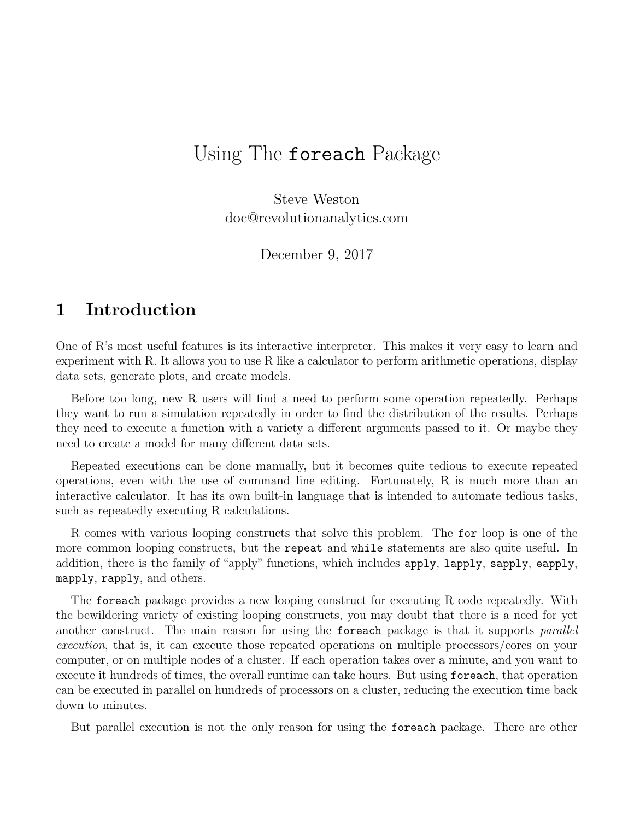## Using The foreach Package

Steve Weston doc@revolutionanalytics.com

December 9, 2017

### 1 Introduction

One of R's most useful features is its interactive interpreter. This makes it very easy to learn and experiment with R. It allows you to use R like a calculator to perform arithmetic operations, display data sets, generate plots, and create models.

Before too long, new R users will find a need to perform some operation repeatedly. Perhaps they want to run a simulation repeatedly in order to find the distribution of the results. Perhaps they need to execute a function with a variety a different arguments passed to it. Or maybe they need to create a model for many different data sets.

Repeated executions can be done manually, but it becomes quite tedious to execute repeated operations, even with the use of command line editing. Fortunately, R is much more than an interactive calculator. It has its own built-in language that is intended to automate tedious tasks, such as repeatedly executing R calculations.

R comes with various looping constructs that solve this problem. The for loop is one of the more common looping constructs, but the repeat and while statements are also quite useful. In addition, there is the family of "apply" functions, which includes apply, lapply, sapply, eapply, mapply, rapply, and others.

The foreach package provides a new looping construct for executing R code repeatedly. With the bewildering variety of existing looping constructs, you may doubt that there is a need for yet another construct. The main reason for using the foreach package is that it supports *parallel* execution, that is, it can execute those repeated operations on multiple processors/cores on your computer, or on multiple nodes of a cluster. If each operation takes over a minute, and you want to execute it hundreds of times, the overall runtime can take hours. But using foreach, that operation can be executed in parallel on hundreds of processors on a cluster, reducing the execution time back down to minutes.

But parallel execution is not the only reason for using the foreach package. There are other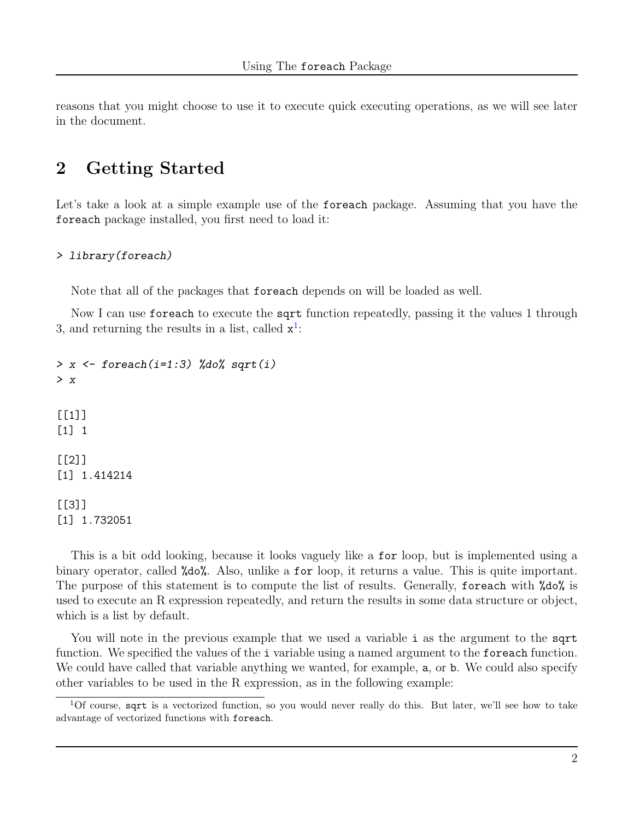reasons that you might choose to use it to execute quick executing operations, as we will see later in the document.

### 2 Getting Started

Let's take a look at a simple example use of the foreach package. Assuming that you have the foreach package installed, you first need to load it:

#### > library(foreach)

Note that all of the packages that foreach depends on will be loaded as well.

Now I can use foreach to execute the sqrt function repeatedly, passing it the values 1 through 3, and returning the results in a list, called  $x^1$  $x^1$ :

```
> x <- foreach(i=1:3) %do% sqrt(i)
> x
[1]]
[1] 1
[[2]]
[1] 1.414214
[[3]]
[1] 1.732051
```
This is a bit odd looking, because it looks vaguely like a for loop, but is implemented using a binary operator, called %do%. Also, unlike a for loop, it returns a value. This is quite important. The purpose of this statement is to compute the list of results. Generally, foreach with %do% is used to execute an R expression repeatedly, and return the results in some data structure or object, which is a list by default.

You will note in the previous example that we used a variable i as the argument to the sqrt function. We specified the values of the i variable using a named argument to the foreach function. We could have called that variable anything we wanted, for example,  $a$ , or  $b$ . We could also specify other variables to be used in the R expression, as in the following example:

<span id="page-1-0"></span><sup>1</sup>Of course, sqrt is a vectorized function, so you would never really do this. But later, we'll see how to take advantage of vectorized functions with foreach.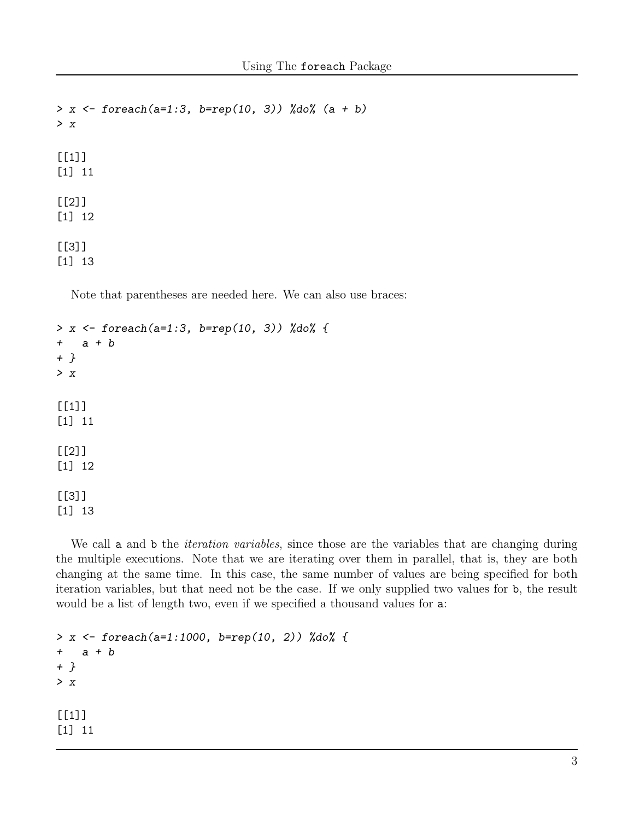```
> x \le foreach(a=1:3, b=rep(10, 3)) %do% (a + b)
> x
[[1]]
[1] 11
[[2]]
[1] 12
[[3]]
[1] 13
```
Note that parentheses are needed here. We can also use braces:

```
> x <- foreach(a=1:3, b=rep(10, 3)) %do% {
+ a + b
+ }
> x
[[1]]
[1] 11
[[2]]
[1] 12
[[3]]
[1] 13
```
We call a and b the *iteration variables*, since those are the variables that are changing during the multiple executions. Note that we are iterating over them in parallel, that is, they are both changing at the same time. In this case, the same number of values are being specified for both iteration variables, but that need not be the case. If we only supplied two values for b, the result would be a list of length two, even if we specified a thousand values for a:

```
> x <- foreach(a=1:1000, b=rep(10, 2)) %do% {
+ a + b
+ }
> x
[[1]]
[1] 11
```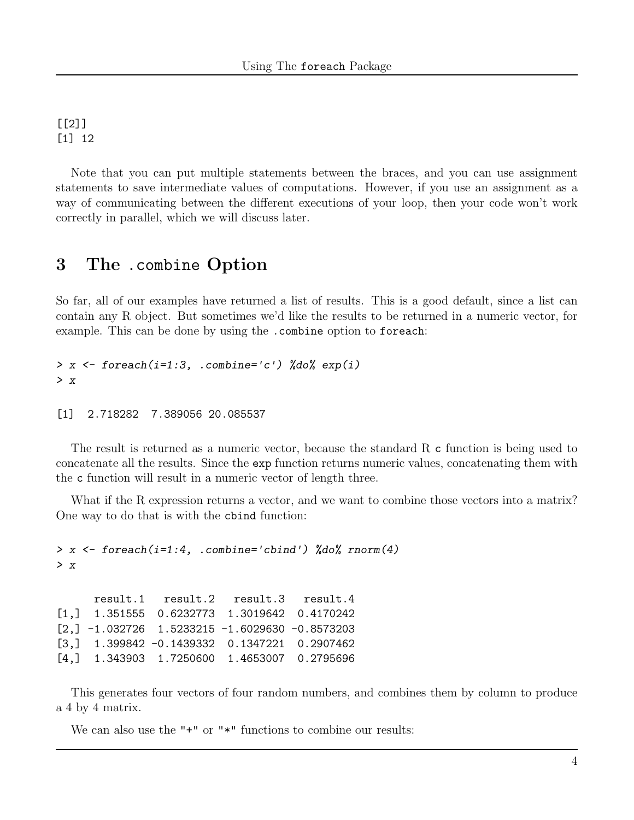[[2]] [1] 12

Note that you can put multiple statements between the braces, and you can use assignment statements to save intermediate values of computations. However, if you use an assignment as a way of communicating between the different executions of your loop, then your code won't work correctly in parallel, which we will discuss later.

#### 3 The .combine Option

So far, all of our examples have returned a list of results. This is a good default, since a list can contain any R object. But sometimes we'd like the results to be returned in a numeric vector, for example. This can be done by using the .combine option to foreach:

```
> x \leftarrow foreach(i=1:3, .combine='c') %do% exp(i)
> x
```

```
[1] 2.718282 7.389056 20.085537
```
The result is returned as a numeric vector, because the standard R c function is being used to concatenate all the results. Since the exp function returns numeric values, concatenating them with the c function will result in a numeric vector of length three.

What if the R expression returns a vector, and we want to combine those vectors into a matrix? One way to do that is with the cbind function:

```
> x <- foreach(i=1:4, .combine='cbind') %do% rnorm(4)
> x
     result.1 result.2 result.3 result.4
[1,] 1.351555 0.6232773 1.3019642 0.4170242
[2, ] -1.032726 \quad 1.5233215 \quad -1.6029630 \quad -0.8573203[3,] 1.399842 -0.1439332 0.1347221 0.2907462
[4,] 1.343903 1.7250600 1.4653007 0.2795696
```
This generates four vectors of four random numbers, and combines them by column to produce a 4 by 4 matrix.

We can also use the "<sup>+"</sup> or "<sup>\*"</sup> functions to combine our results: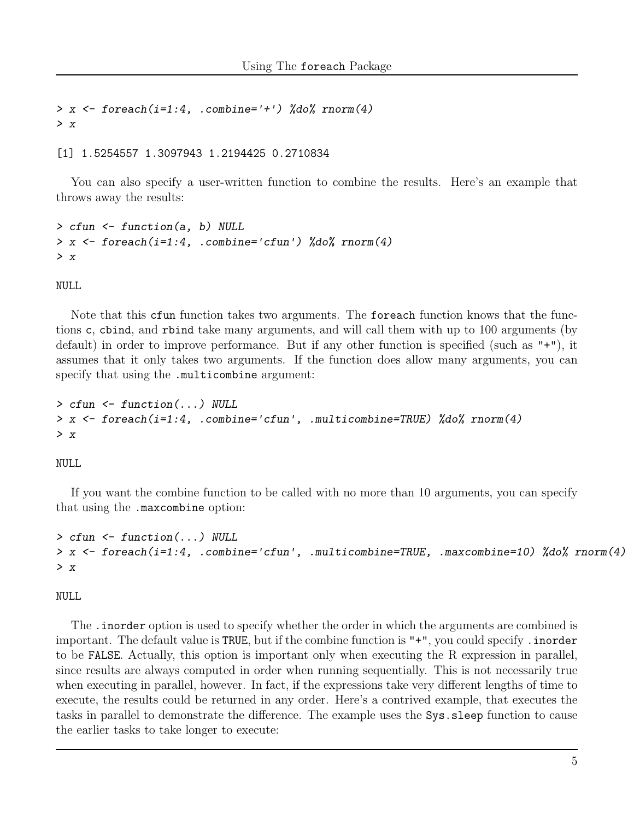```
> x \leftarrow foreach(i=1:4, .combine='+') %do% rnorm(4)
> x
```
[1] 1.5254557 1.3097943 1.2194425 0.2710834

You can also specify a user-written function to combine the results. Here's an example that throws away the results:

```
> cfun <- function(a, b) NULL
> x <- foreach(i=1:4, .combine='cfun') %do% rnorm(4)
> x
```
NULL

Note that this cfun function takes two arguments. The foreach function knows that the functions c, cbind, and rbind take many arguments, and will call them with up to 100 arguments (by default) in order to improve performance. But if any other function is specified (such as "+"), it assumes that it only takes two arguments. If the function does allow many arguments, you can specify that using the .multicombine argument:

```
> cfun <- function(...) NULL
> x <- foreach(i=1:4, .combine='cfun', .multicombine=TRUE) %do% rnorm(4)
> x
```
NULL

If you want the combine function to be called with no more than 10 arguments, you can specify that using the .maxcombine option:

```
> cfun <- function(...) NULL
> x <- foreach(i=1:4, .combine='cfun', .multicombine=TRUE, .maxcombine=10) %do% rnorm(4)
> x
```
NULL

The .inorder option is used to specify whether the order in which the arguments are combined is important. The default value is TRUE, but if the combine function is "+", you could specify . inorder to be FALSE. Actually, this option is important only when executing the R expression in parallel, since results are always computed in order when running sequentially. This is not necessarily true when executing in parallel, however. In fact, if the expressions take very different lengths of time to execute, the results could be returned in any order. Here's a contrived example, that executes the tasks in parallel to demonstrate the difference. The example uses the Sys.sleep function to cause the earlier tasks to take longer to execute: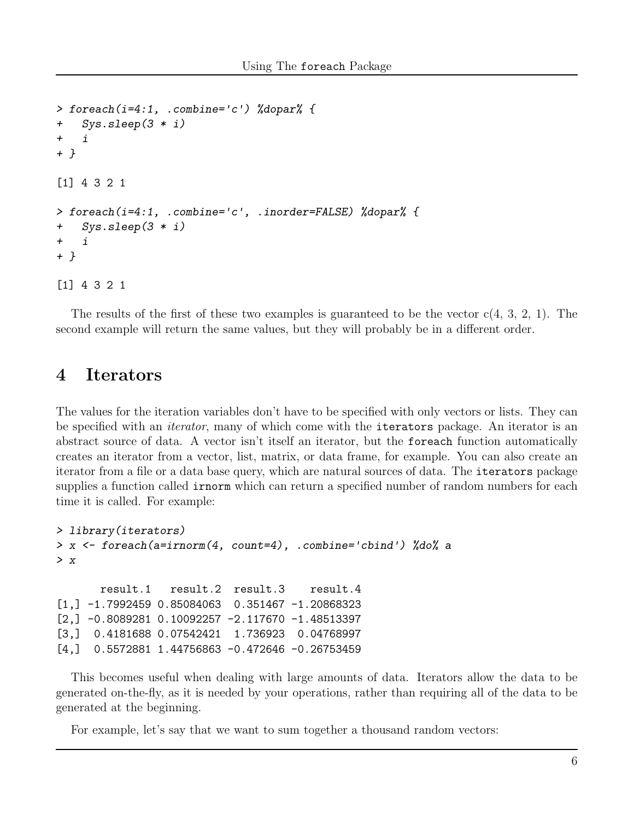```
> foreach(i=4:1, .combine='c') %dopar% {
+ Sys.sleep(3 * i)
+ i
+ }
[1] 4 3 2 1
> foreach(i=4:1, .combine='c', .inorder=FALSE) %dopar% {
+ Sys.sleep(3 * i)
+ i+ }
[1] 4 3 2 1
```
The results of the first of these two examples is guaranteed to be the vector  $c(4, 3, 2, 1)$ . The second example will return the same values, but they will probably be in a different order.

### 4 Iterators

The values for the iteration variables don't have to be specified with only vectors or lists. They can be specified with an *iterator*, many of which come with the **iterators** package. An iterator is an abstract source of data. A vector isn't itself an iterator, but the foreach function automatically creates an iterator from a vector, list, matrix, or data frame, for example. You can also create an iterator from a file or a data base query, which are natural sources of data. The iterators package supplies a function called **irnorm** which can return a specified number of random numbers for each time it is called. For example:

```
> library(iterators)
> x <- foreach(a=irnorm(4, count=4), .combine='cbind') %do% a
> xresult.1 result.2 result.3 result.4
[1,] -1.7992459 0.85084063 0.351467 -1.20868323
[2,] -0.8089281 0.10092257 -2.117670 -1.48513397
[3,] 0.4181688 0.07542421 1.736923 0.04768997
[4,] 0.5572881 1.44756863 -0.472646 -0.26753459
```
This becomes useful when dealing with large amounts of data. Iterators allow the data to be generated on-the-fly, as it is needed by your operations, rather than requiring all of the data to be generated at the beginning.

For example, let's say that we want to sum together a thousand random vectors: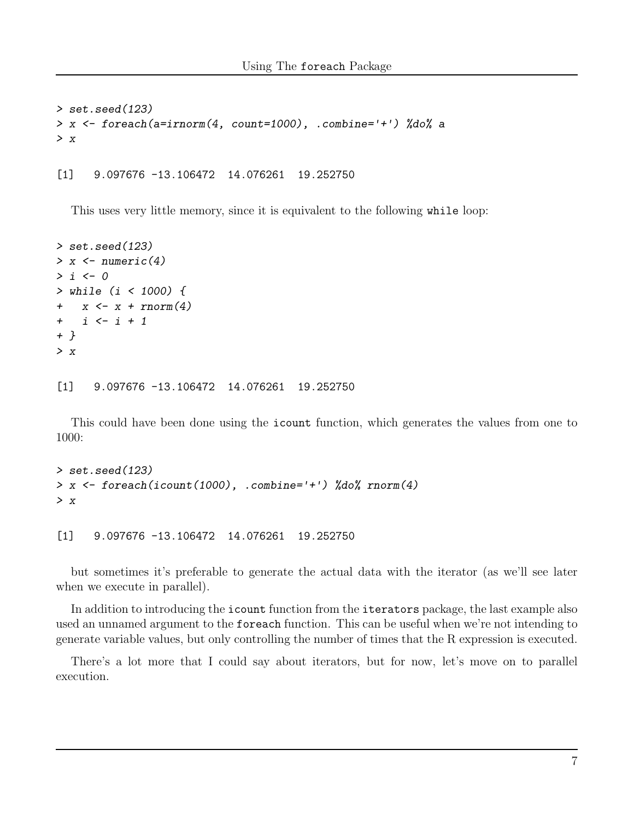```
> set.seed(123)
> x <- foreach(a=irnorm(4, count=1000), .combine='+') %do% a
> x
```
[1] 9.097676 -13.106472 14.076261 19.252750

This uses very little memory, since it is equivalent to the following while loop:

```
> set.seed(123)
> x < - numeric(4)
> i < -0> while (i < 1000) {
+ x \leftarrow x + rnorm(4)+ i <- i + 1
+ }
> x
```
[1] 9.097676 -13.106472 14.076261 19.252750

This could have been done using the icount function, which generates the values from one to 1000:

```
> set.seed(123)
> x <- foreach(icount(1000), .combine='+') %do% rnorm(4)
> x
```
[1] 9.097676 -13.106472 14.076261 19.252750

but sometimes it's preferable to generate the actual data with the iterator (as we'll see later when we execute in parallel).

In addition to introducing the icount function from the iterators package, the last example also used an unnamed argument to the foreach function. This can be useful when we're not intending to generate variable values, but only controlling the number of times that the R expression is executed.

There's a lot more that I could say about iterators, but for now, let's move on to parallel execution.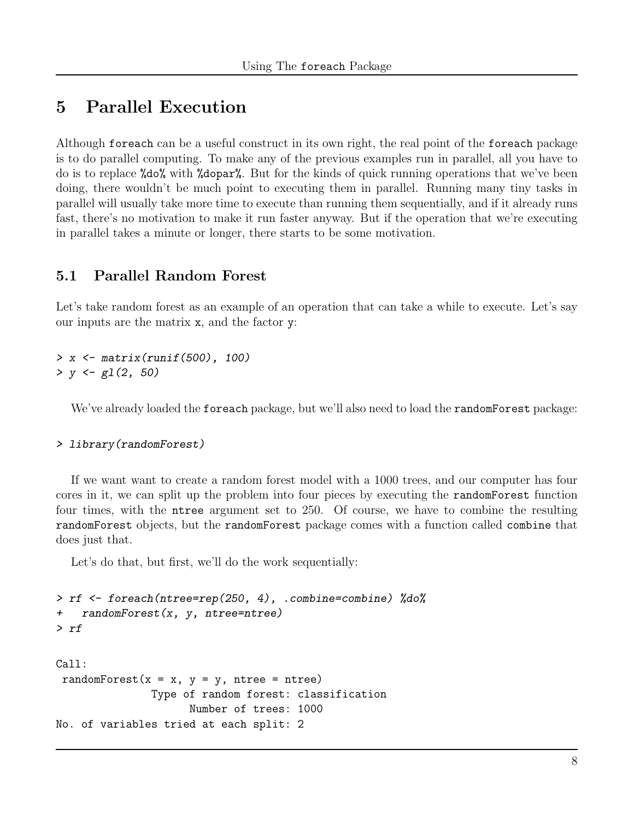## 5 Parallel Execution

Although foreach can be a useful construct in its own right, the real point of the foreach package is to do parallel computing. To make any of the previous examples run in parallel, all you have to do is to replace %do% with %dopar%. But for the kinds of quick running operations that we've been doing, there wouldn't be much point to executing them in parallel. Running many tiny tasks in parallel will usually take more time to execute than running them sequentially, and if it already runs fast, there's no motivation to make it run faster anyway. But if the operation that we're executing in parallel takes a minute or longer, there starts to be some motivation.

#### 5.1 Parallel Random Forest

Let's take random forest as an example of an operation that can take a while to execute. Let's say our inputs are the matrix x, and the factor y:

> x <- matrix(runif(500), 100)  $> y \leftarrow \text{gl}(2, 50)$ 

We've already loaded the foreach package, but we'll also need to load the randomForest package:

> library(randomForest)

If we want want to create a random forest model with a 1000 trees, and our computer has four cores in it, we can split up the problem into four pieces by executing the randomForest function four times, with the ntree argument set to 250. Of course, we have to combine the resulting randomForest objects, but the randomForest package comes with a function called combine that does just that.

Let's do that, but first, we'll do the work sequentially:

```
> rf <- foreach(ntree=rep(250, 4), .combine=combine) %do%
+ randomForest(x, y, ntree=ntree)
> rf
Call:
randomForest(x = x, y = y, ntree = ntree)
               Type of random forest: classification
                     Number of trees: 1000
No. of variables tried at each split: 2
```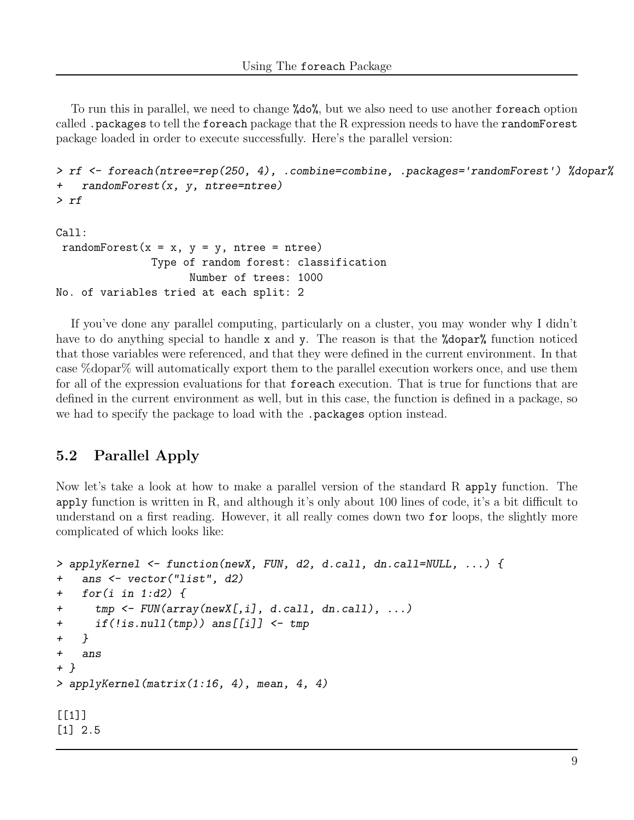To run this in parallel, we need to change %do%, but we also need to use another foreach option called .packages to tell the foreach package that the R expression needs to have the randomForest package loaded in order to execute successfully. Here's the parallel version:

```
> rf <- foreach(ntree=rep(250, 4), .combine=combine, .packages='randomForest') %dopar%
+ randomForest(x, y, ntree=ntree)
> rf
Call:
```

```
randomForest(x = x, y = y, ntree = ntree)
               Type of random forest: classification
                     Number of trees: 1000
No. of variables tried at each split: 2
```
If you've done any parallel computing, particularly on a cluster, you may wonder why I didn't have to do anything special to handle x and y. The reason is that the **"dopar"** function noticed that those variables were referenced, and that they were defined in the current environment. In that case %dopar% will automatically export them to the parallel execution workers once, and use them for all of the expression evaluations for that foreach execution. That is true for functions that are defined in the current environment as well, but in this case, the function is defined in a package, so we had to specify the package to load with the .packages option instead.

### 5.2 Parallel Apply

Now let's take a look at how to make a parallel version of the standard R apply function. The apply function is written in R, and although it's only about 100 lines of code, it's a bit difficult to understand on a first reading. However, it all really comes down two for loops, the slightly more complicated of which looks like:

```
> applyKernel <- function(newX, FUN, d2, d.call, dn.call=NULL, ...) {
+ ans <- vector("list", d2)
+ for(i in 1:d2) {
+ tmp <- FUN(array(newX[,i], d.call, dn.call), ...)
+ if(!is.null(tmp)) ans[[i]] <- tmp
+ }
+ ans
+ }
> applyKernel(matrix(1:16, 4), mean, 4, 4)
[[1]]
[1] 2.5
```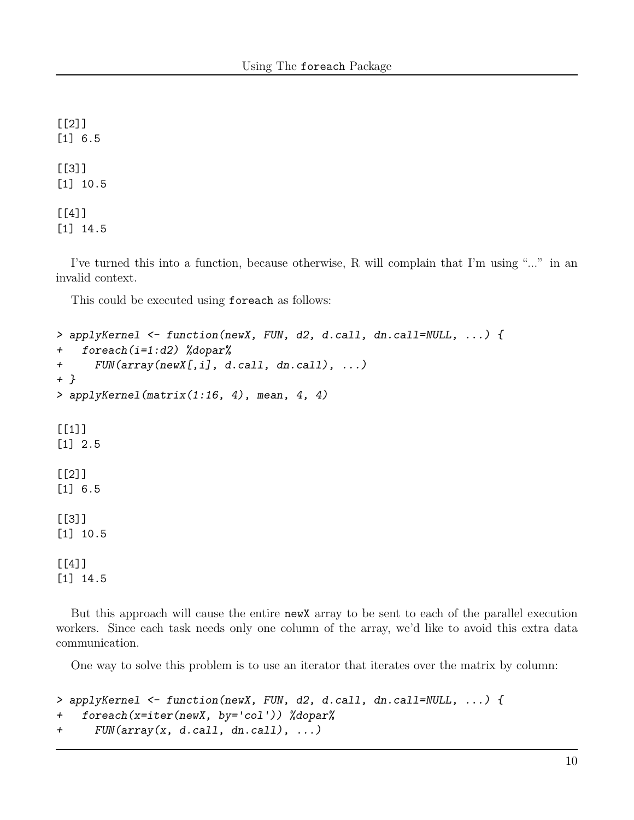[[2]] [1] 6.5 [[3]] [1] 10.5 [[4]]

[1] 14.5

I've turned this into a function, because otherwise, R will complain that I'm using "..." in an invalid context.

This could be executed using foreach as follows:

```
> applyKernel <- function(newX, FUN, d2, d.call, dn.call=NULL, ...) {
+ foreach(i=1:d2) %dopar%
+ FUN(array(newX[,i], d.call, dn.call), ...)
+ }
> applyKernel(matrix(1:16, 4), mean, 4, 4)
[[1]]
[1] 2.5
[[2]]
[1] 6.5
[[3]]
[1] 10.5
[[4]]
[1] 14.5
```
But this approach will cause the entire newX array to be sent to each of the parallel execution workers. Since each task needs only one column of the array, we'd like to avoid this extra data communication.

One way to solve this problem is to use an iterator that iterates over the matrix by column:

```
> applyKernel <- function(newX, FUN, d2, d.call, dn.call=NULL, ...) {
+ foreach(x=iter(newX, by='col')) %dopar%
+ FUN(array(x, d.call, dn.call), ...)
```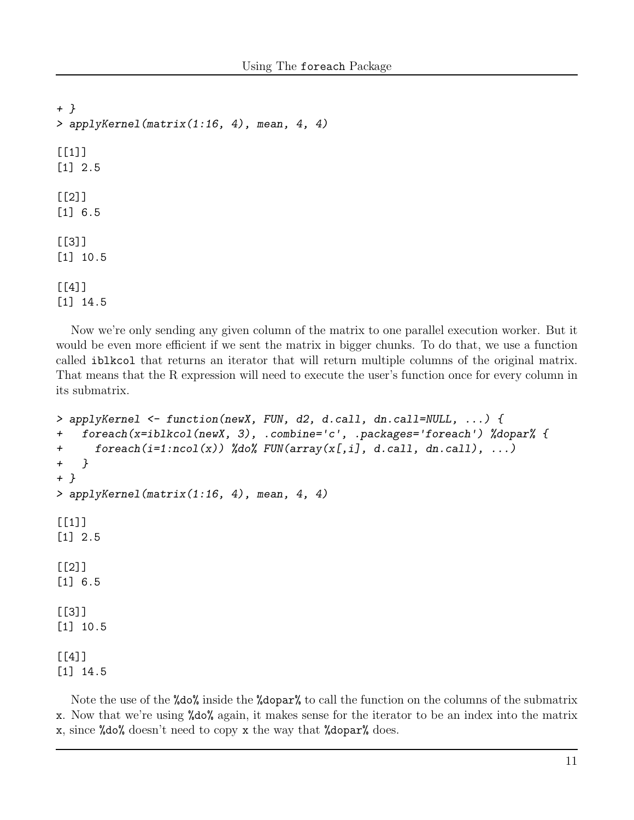```
+ }
> applyKernel(matrix(1:16, 4), mean, 4, 4)
[[1]]
[1] 2.5
[[2]]
[1] 6.5
[[3]]
[1] 10.5
[[4]]
[1] 14.5
```
Now we're only sending any given column of the matrix to one parallel execution worker. But it would be even more efficient if we sent the matrix in bigger chunks. To do that, we use a function called iblkcol that returns an iterator that will return multiple columns of the original matrix. That means that the R expression will need to execute the user's function once for every column in its submatrix.

```
> applyKernel <- function(newX, FUN, d2, d.call, dn.call=NULL, ...) {
+ foreach(x=iblkcol(newX, 3), .combine='c', .packages='foreach') %dopar% {
+ foreach(i=1:ncol(x)) %do% FUN(array(x[,i], d.call, dn.call), ...)
+ }
+ }
> applyKernel(matrix(1:16, 4), mean, 4, 4)
[1]]
[1] 2.5
[[2]]
[1] 6.5
[[3]]
[1] 10.5
[[4]]
[1] 14.5
```
Note the use of the %do% inside the %dopar% to call the function on the columns of the submatrix x. Now that we're using %do% again, it makes sense for the iterator to be an index into the matrix x, since %do% doesn't need to copy x the way that %dopar% does.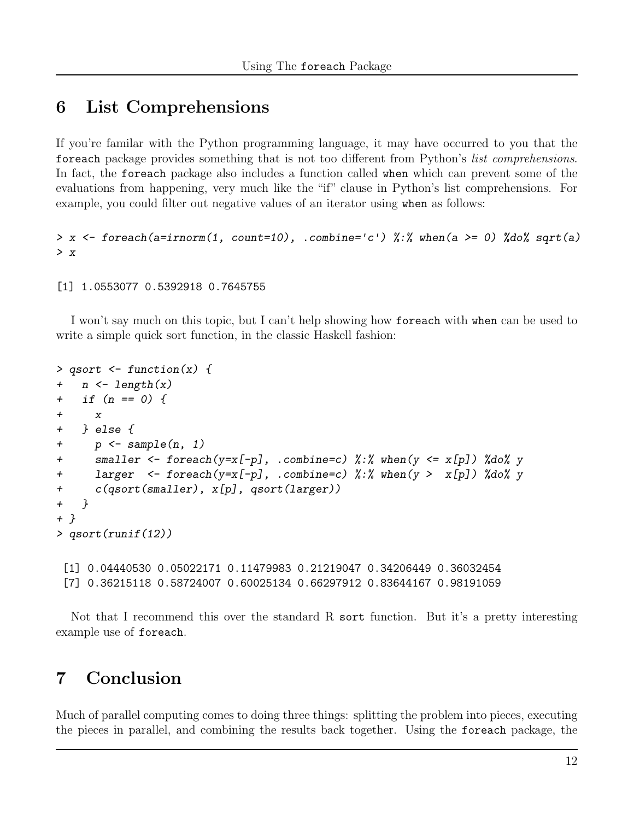### 6 List Comprehensions

If you're familar with the Python programming language, it may have occurred to you that the foreach package provides something that is not too different from Python's list comprehensions. In fact, the foreach package also includes a function called when which can prevent some of the evaluations from happening, very much like the "if" clause in Python's list comprehensions. For example, you could filter out negative values of an iterator using when as follows:

```
> x <- foreach(a=irnorm(1, count=10), .combine='c') %:% when(a >= 0) %do% sqrt(a)
> x
```

```
[1] 1.0553077 0.5392918 0.7645755
```
I won't say much on this topic, but I can't help showing how foreach with when can be used to write a simple quick sort function, in the classic Haskell fashion:

```
> qsort \leq function(x) {
+ n \leftarrow length(x)+ if (n == 0) {
+ x
+ } else {
+ p \leq sample(n, 1)
+ smaller \leq foreach(y=x[-p], .combine=c) %:% when(y \leq x[p]) %do% y
+ larger <- foreach(y=x[-p], .combine=c) %:% when(y > x[p]) %do% y
+ c(qsort(smaller), x[p], qsort(larger))
+ }
+ }
> qsort(runif(12))
 [1] 0.04440530 0.05022171 0.11479983 0.21219047 0.34206449 0.36032454
 [7] 0.36215118 0.58724007 0.60025134 0.66297912 0.83644167 0.98191059
```
Not that I recommend this over the standard R sort function. But it's a pretty interesting example use of foreach.

# 7 Conclusion

Much of parallel computing comes to doing three things: splitting the problem into pieces, executing the pieces in parallel, and combining the results back together. Using the foreach package, the